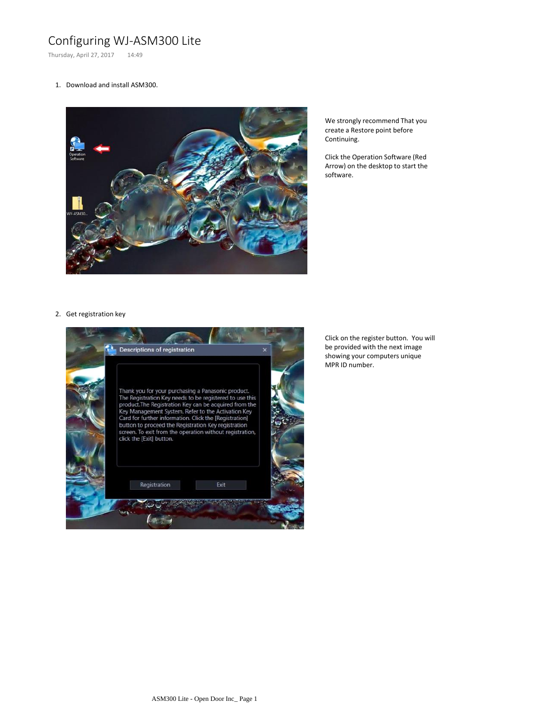## Configuring WJ-ASM300 Lite

Thursday, April 27, 2017 14:49

## 1. Download and install ASM300.



We strongly recommend That you create a Restore point before Continuing.

Click the Operation Software (Red Arrow) on the desktop to start the software.

## 2. Get registration key



Click on the register button. You will be provided with the next image showing your computers unique MPR ID number.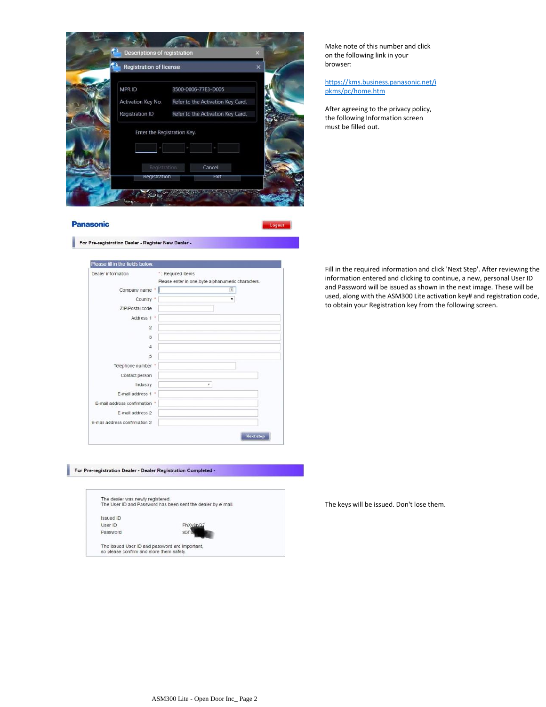

\*: Required Items

Please enter in one-byte alphanumeric characters.

 $\overline{\phantom{0}}$ 

 $\overline{\mathbf{r}}$ 

Next step

Make note of this number and click on the following link in your browser:

[https:/](https://kms.business.panasonic.net/ipkms/pc/home.htm)/kms.business.panasonic.net/i pkms/pc/home.htm

After agreeing to the privacy policy, the following Information screen must be filled out.

Fill in the required information and click 'Next Step'. After reviewing the information entered and clicking to continue, a new, personal User ID and Password will be issued as shown in the next image. These will be used, along with the ASM300 Lite activation key# and registration code, to obtain your Registration key from the following screen.

For Pre-registration Dealer - Dealer Registration Completed -

| The dealer was newly registered. |                                                              |  |
|----------------------------------|--------------------------------------------------------------|--|
|                                  | The User ID and Password has been sent the dealer by e-mail. |  |
| Issued ID                        |                                                              |  |
| User ID                          | FhXv8nQ                                                      |  |
| Password                         | <b>SBF</b>                                                   |  |

The keys will be issued. Don't lose them.

Dealer information

Please fill in the fields below.

For Pre-registration Dealer - Register New Dealer -

Company name

ZIP/Postal code Address 1  $\overline{2}$ 3  $\overline{4}$  $\overline{5}$ 

Telephone number Contact person

Industry E-mail address 1 E-mail address confirmation \* E-mail address 2 E-mail address confirmation 2

Country

**Panasonic**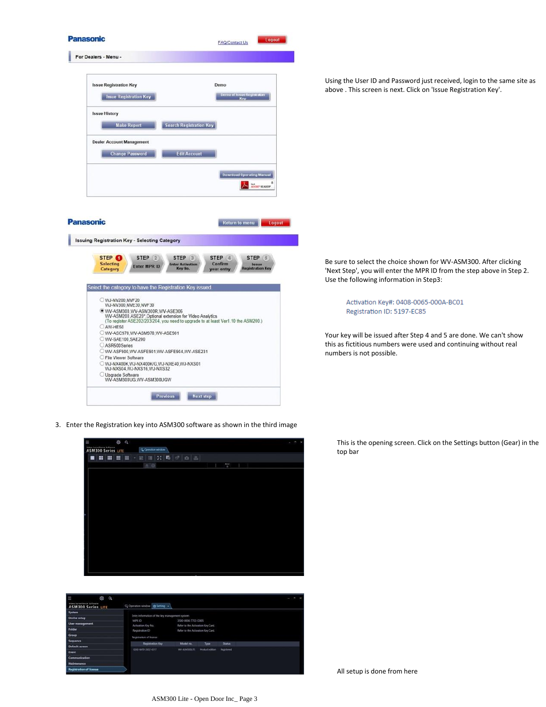

Using the User ID and Password just received, login to the same site as above . This screen is next. Click on 'Issue Registration Key'.

Be sure to select the choice shown for WV-ASM300. After clicking 'Next Step', you will enter the MPR ID from the step above in Step 2. Use the following information in Step3:

> Activation Key#: 0408-0065-000A-BC01 Registration ID: 5197-EC85

Your key will be issued after Step 4 and 5 are done. We can't show this as fictitious numbers were used and continuing without real numbers is not possible.

3. Enter the Registration key into ASM300 software as shown in the third image





This is the opening screen. Click on the Settings button (Gear) in the top bar